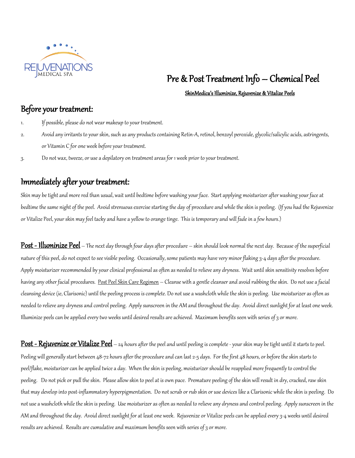

# Pre & Post Treatment Info – Chemical Peel

### SkinMedica's Illuminize, Rejuvenize & Vitalize Peels

## Before your treatment:

- 1. If possible, please do not wear makeup to your treatment.
- 2. Avoid any irritants to your skin, such as any products containing Retin-A, retinol, benzoyl peroxide,glycolic/salicylic acids, astringents, or Vitamin C for one week before your treatment.
- 3. Do not wax, tweeze, or use a depilatory on treatment areas for 1 week prior to your treatment.

## Immediately after your treatment:

Skin may be tight and more red than usual, wait until bedtime before washing your face. Start applying moisturizer after washing your face at bedtime the same night of the peel. Avoid strenuous exercise starting the day of procedure and while the skin is peeling. (If you had the Rejuvenize or Vitalize Peel, your skin may feel tacky and have a yellow to orange tinge. This is temporary and will fade in a few hours.)

Post - Illuminize Peel – The next day through four days after procedure – skin should look normal the next day. Because of the superficial nature of this peel, do not expect to see visible peeling. Occasionally, some patients may have very minor flaking 3-4 days after the procedure. Apply moisturizer recommended by your clinical professional as often as needed to relieve any dryness. Wait until skin sensitivity resolves before having any other facial procedures. Post Peel Skin Care Regimen – Cleanse with a gentle cleanser and avoid rubbing the skin. Do not use a facial cleansing device (ie, Clarisonic) until the peeling process is complete. Do not use a washcloth while the skin is peeling. Use moisturizer as often as needed to relieve any dryness and control peeling. Apply sunscreen in the AM and throughout the day. Avoid direct sunlight for at least one week. Illuminize peels can be applied every two weeks until desired results are achieved. Maximum benefits seen with series of 3 or more.

Post - Rejuvenize or Vitalize Peel – 24 hours after the peel and until peeling is complete - your skin may be tight until it starts to peel. Peeling will generally start between 48-72 hours after the procedure and can last 2-5 days. For the first 48 hours, or before the skin starts to peel/flake, moisturizer can be applied twice a day. When the skin is peeling, moisturizer should be reapplied more frequently to control the peeling. Do not pick or pull the skin. Please allow skin to peel at is own pace. Premature peeling of the skin will result in dry, cracked, raw skin that may develop into post-inflammatory hyperpigmentation. Do not scrub or rub skin or use devices like a Clarisonic while the skin is peeling. Do not use a washcloth while the skin is peeling. Use moisturizer as often as needed to relieve any dryness and control peeling. Apply sunscreen in the AM and throughout the day. Avoid direct sunlight for at least one week. Rejuvenize or Vitalize peels can be applied every 3-4 weeks until desired results are achieved. Results are cumulative and maximum benefits seen with series of 3 or more.